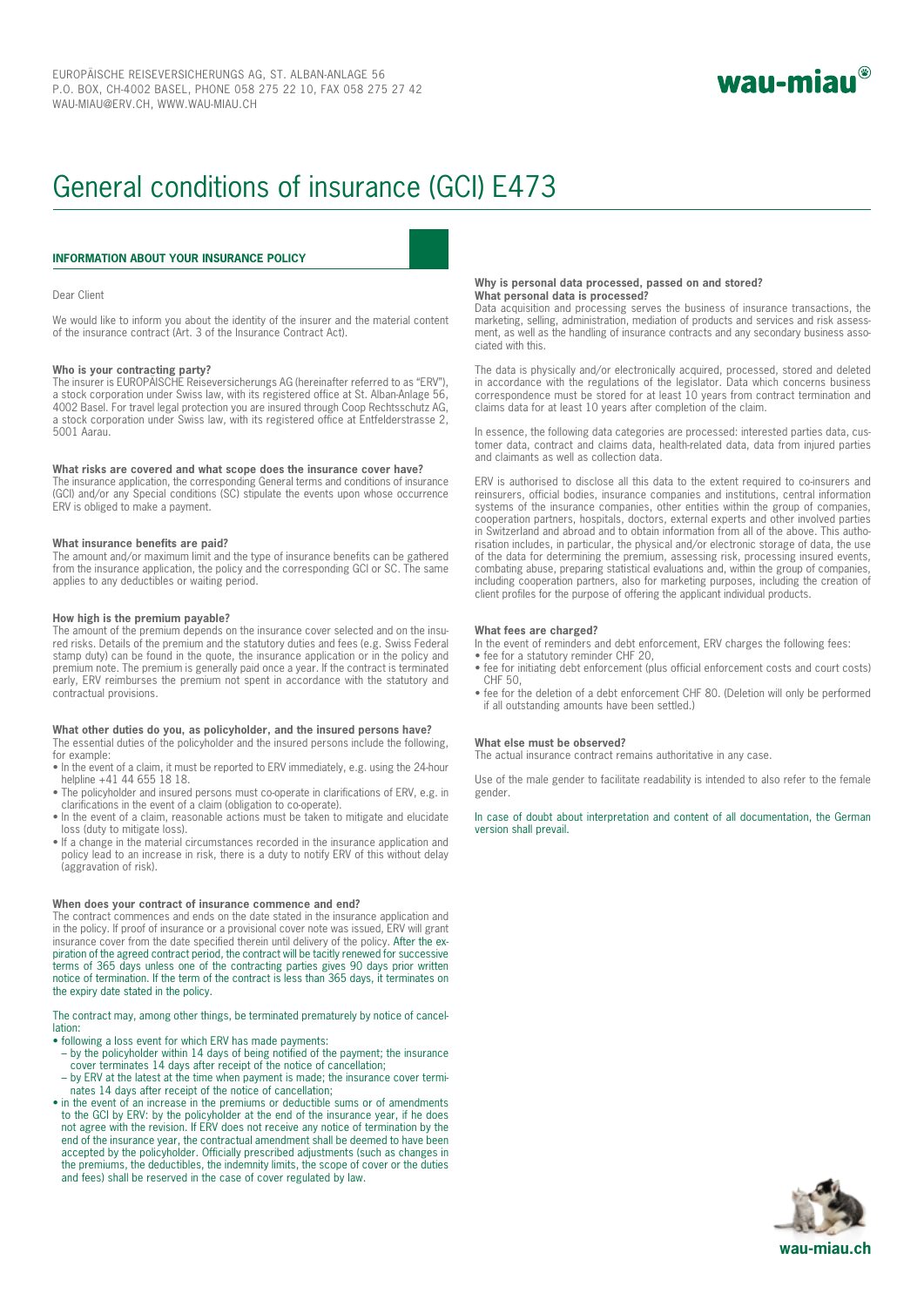

# General conditions of insurance (GCI) E473

### **INFORMATION ABOUT YOUR INSURANCE POLICY**

### Dear Client

We would like to inform you about the identity of the insurer and the material content of the insurance contract (Art. 3 of the Insurance Contract Act).

### **Who is your contracting party?**

The insurer is EUROPÄISCHE Reiseversicherungs AG (hereinafter referred to as "ERV"), a stock corporation under Swiss law, with its registered office at St. Alban-Anlage 56, 4002 Basel. For travel legal protection you are insured through Coop Rechtsschutz AG, a stock corporation under Swiss law, with its registered office at Entfelderstrasse 2, 5001 Aarau.

### **What risks are covered and what scope does the insurance cover have?**

The insurance application, the corresponding General terms and conditions of insurance (GCI) and/or any Special conditions (SC) stipulate the events upon whose occurrence ERV is obliged to make a payment.

### **What insurance benefits are paid?**

The amount and/or maximum limit and the type of insurance benefits can be gathered from the insurance application, the policy and the corresponding GCI or SC. The same applies to any deductibles or waiting period.

### **How high is the premium payable?**

The amount of the premium depends on the insurance cover selected and on the insured risks. Details of the premium and the statutory duties and fees (e.g. Swiss Federal stamp duty) can be found in the quote, the insurance application or in the policy and premium note. The premium is generally paid once a year. If the contract is terminated early, ERV reimburses the premium not spent in accordance with the statutory and contractual provisions.

### **What other duties do you, as policyholder, and the insured persons have?**

The essential duties of the policyholder and the insured persons include the following, for example:

- In the event of a claim, it must be reported to ERV immediately, e.g. using the 24-hour helpline +41 44 655 18 18.
- The policyholder and insured persons must co-operate in clarifications of ERV, e.g. in clarifications in the event of a claim (obligation to co-operate).
- In the event of a claim, reasonable actions must be taken to mitigate and elucidate loss (duty to mitigate loss).
- If a change in the material circumstances recorded in the insurance application and policy lead to an increase in risk, there is a duty to notify ERV of this without delay (aggravation of risk).

### **When does your contract of insurance commence and end?**

The contract commences and ends on the date stated in the insurance application and in the policy. If proof of insurance or a provisional cover note was issued, ERV will grant in the policy. The from the date specified therein until delivery of the policy. After the ex-<br>insurance cover from the date specified therein until delivery of the policy. After the expiration of the agreed contract period, the contract will be tacitly renewed for successive terms of 365 days unless one of the contracting parties gives 90 days prior written notice of termination. If the term of the contract is less than 365 days, it terminates on the expiry date stated in the policy.

The contract may, among other things, be terminated prematurely by notice of cancellation:

- following a loss event for which ERV has made payments:
- by the policyholder within 14 days of being notified of the payment; the insurance cover terminates 14 days after receipt of the notice of cancellation;
- by ERV at the latest at the time when payment is made; the insurance cover terminates 14 days after receipt of the notice of cancellation;
- in the event of an increase in the premiums or deductible sums or of amendments to the GCI by ERV: by the policyholder at the end of the insurance year, if he does not agree with the revision. If ERV does not receive any notice of termination by the end of the insurance year, the contractual amendment shall be deemed to have been accepted by the policyholder. Officially prescribed adjustments (such as changes in the premiums, the deductibles, the indemnity limits, the scope of cover or the duties and fees) shall be reserved in the case of cover regulated by law.

### **Why is personal data processed, passed on and stored? What personal data is processed?**

Data acquisition and processing serves the business of insurance transactions, the marketing, selling, administration, mediation of products and services and risk assessment, as well as the handling of insurance contracts and any secondary business associated with this.

The data is physically and/or electronically acquired, processed, stored and deleted in accordance with the regulations of the legislator. Data which concerns business correspondence must be stored for at least 10 years from contract termination and claims data for at least 10 years after completion of the claim.

In essence, the following data categories are processed: interested parties data, customer data, contract and claims data, health-related data, data from injured parties and claimants as well as collection data.

ERV is authorised to disclose all this data to the extent required to co-insurers and reinsurers, official bodies, insurance companies and institutions, central information systems of the insurance companies, other entities within the group of companies, cooperation partners, hospitals, doctors, external experts and other involved parties in Switzerland and abroad and to obtain information from all of the above. This authorisation includes, in particular, the physical and/or electronic storage of data, the use of the data for determining the premium, assessing risk, processing insured events, combating abuse, preparing statistical evaluations and, within the group of companies, including cooperation partners, also for marketing purposes, including the creation of client profiles for the purpose of offering the applicant individual products.

### **What fees are charged?**

In the event of reminders and debt enforcement, ERV charges the following fees:

- fee for a statutory reminder CHF 20,
- fee for initiating debt enforcement (plus official enforcement costs and court costs) CHF 50,
- fee for the deletion of a debt enforcement CHF 80. (Deletion will only be performed if all outstanding amounts have been settled.)

### **What else must be observed?**

The actual insurance contract remains authoritative in any case.

Use of the male gender to facilitate readability is intended to also refer to the female gender.

In case of doubt about interpretation and content of all documentation, the German version shall prevail.

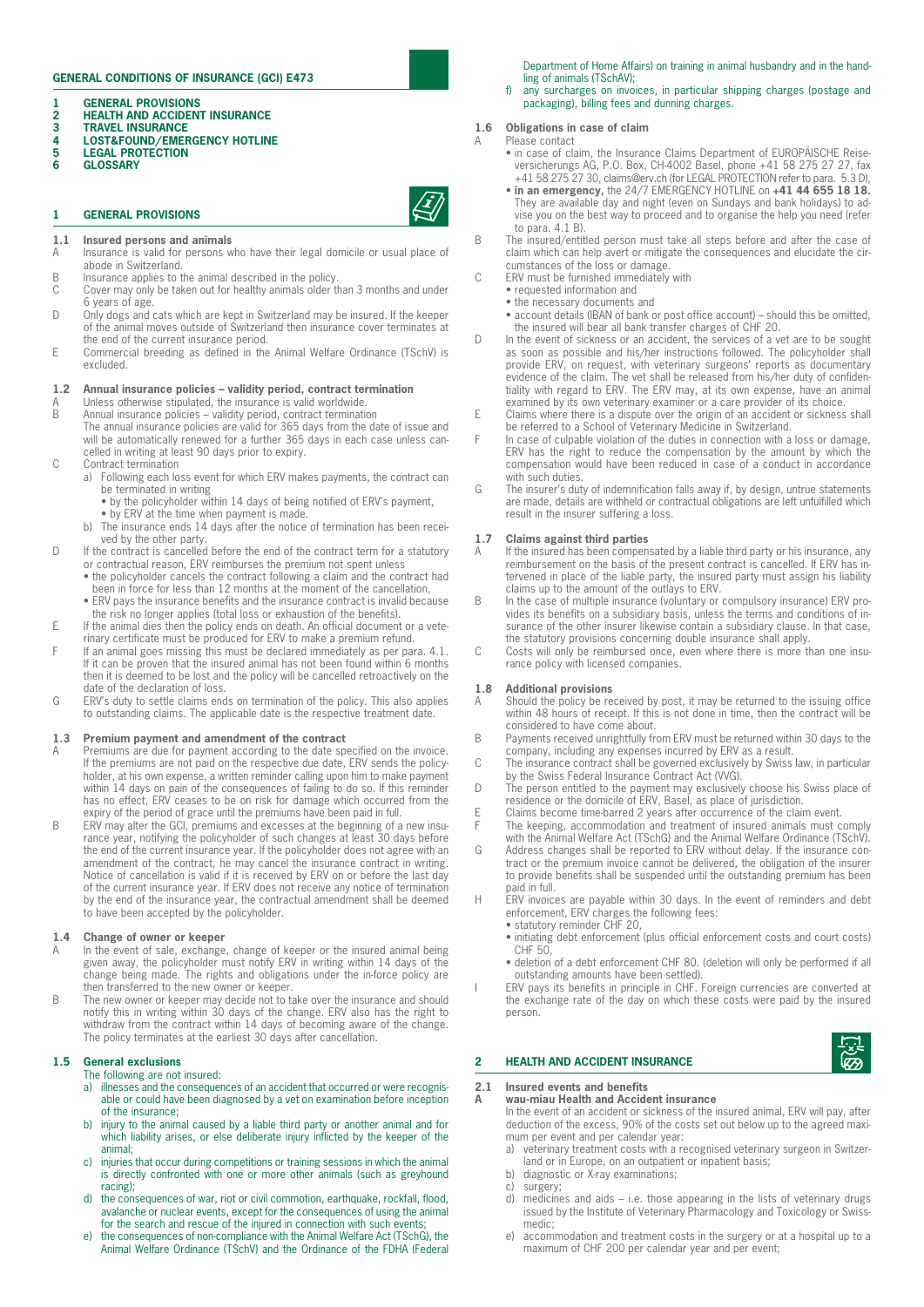### **GENERAL CONDITIONS OF INSURANCE (GCI) E473**

- **1 GENERAL PROVISIONS**
- **2 HEALTH AND ACCIDENT INSURANCE**
- **3** TRAVEL INSURANCE<br>4 LOST&FOUND/EMER **4 LOST&FOUND/EMERGENCY HOTLINE**
- **5** LEGAL PROTECTION<br>6 GLOSSARY
- **6 GLOSSARY**

### **1 GENERAL PROVISIONS**



- 
- **1.1 Insured persons and animals**<br>A Insurance is valid for persons w
- Insurance is valid for persons who have their legal domicile or usual place of abode in Switzerland.
- B Insurance applies to the animal described in the policy.<br>C Cover may only be taken out for healthy animals older to
- Cover may only be taken out for healthy animals older than 3 months and under 6 years of age. D Only dogs and cats which are kept in Switzerland may be insured. If the keeper
- of the animal moves outside of Switzerland then insurance cover terminates at the end of the current insurance period.
- E Commercial breeding as defined in the Animal Welfare Ordinance (TSchV) is excluded.

### **1.2 Annual insurance policies – validity period, contract termination**

- A Unless otherwise stipulated, the insurance is valid worldwide.<br>B Annual insurance policies validity period, contract termination
- B Annual insurance policies validity period, contract termination The annual insurance policies are valid for 365 days from the date of issue and will be automatically renewed for a further 365 days in each case unless cancelled in writing at least 90 days prior to expiry.
- C Contract termination
	- a) Following each loss event for which ERV makes payments, the contract can be terminated in writing
		- by the policyholder within 14 days of being notified of ERV's payment, • by ERV at the time when payment is made.
		- b) The insurance ends 14 days after the notice of termination has been received by the other party.
- D If the contract is cancelled before the end of the contract term for a statutory or contractual reason, ERV reimburses the premium not spent unless
	- the policyholder cancels the contract following a claim and the contract had been in force for less than 12 months at the moment of the cancellation,
	- ERV pays the insurance benefits and the insurance contract is invalid because the risk no longer applies (total loss or exhaustion of the benefits).
- E If the animal dies then the policy ends on death. An official document or a veterinary certificate must be produced for ERV to make a premium refund.
- F If an animal goes missing this must be declared immediately as per para. 4.1. If it can be proven that the insured animal has not been found within 6 months then it is deemed to be lost and the policy will be cancelled retroactively on the date of the declaration of loss.
- G ERV's duty to settle claims ends on termination of the policy. This also applies to outstanding claims. The applicable date is the respective treatment date.

### **1.3 Premium payment and amendment of the contract**

- A Premiums are due for payment according to the date specified on the invoice. If the premiums are not paid on the respective due date, ERV sends the policyholder, at his own expense, a written reminder calling upon him to make payment within 14 days on pain of the consequences of failing to do so. If this reminder has no effect, ERV ceases to be on risk for damage which occurred from the expiry of the period of grace until the premiums have been paid in full.
- B ERV may alter the GCI, premiums and excesses at the beginning of a new insurance year, notifying the policyholder of such changes at least 30 days before the end of the current insurance year. If the policyholder does not agree with an amendment of the contract, he may cancel the insurance contract in writing. Notice of cancellation is valid if it is received by ERV on or before the last day of the current insurance year. If ERV does not receive any notice of termination by the end of the insurance year, the contractual amendment shall be deemed to have been accepted by the policyholder.

### **1.4 Change of owner or keeper**

- In the event of sale, exchange, change of keeper or the insured animal being given away, the policyholder must notify ERV in writing within 14 days of the change being made. The rights and obligations under the in-force policy are then transferred to the new owner or keeper.
- B The new owner or keeper may decide not to take over the insurance and should notify this in writing within 30 days of the change. ERV also has the right to withdraw from the contract within 14 days of becoming aware of the change. The policy terminates at the earliest 30 days after cancellation.

### **1.5 General exclusions**

The following are not insured:

- a) illnesses and the consequences of an accident that occurred or were recognisable or could have been diagnosed by a vet on examination before inception of the insurance;
- b) injury to the animal caused by a liable third party or another animal and for which liability arises, or else deliberate injury inflicted by the keeper of the animal;
- c) injuries that occur during competitions or training sessions in which the animal is directly confronted with one or more other animals (such as greyhound racing);
- d) the consequences of war, riot or civil commotion, earthquake, rockfall, flood, avalanche or nuclear events, except for the consequences of using the animal for the search and rescue of the injured in connection with such events;
- e) the consequences of non-compliance with the Animal Welfare Act (TSchG), the Animal Welfare Ordinance (TSchV) and the Ordinance of the FDHA (Federal

Department of Home Affairs) on training in animal husbandry and in the handling of animals (TSchAV);

f) any surcharges on invoices, in particular shipping charges (postage and packaging), billing fees and dunning charges.

### **1.6 Obligations in case of claim**

- Please contact
	- in case of claim, the Insurance Claims Department of EUROPÄISCHE Reiseversicherungs AG, P.O. Box, CH-4002 Basel, phone +41 58 275 27 27, fax +41 58 275 27 30, claims@erv.ch (for LEGAL PROTECTION refer to para. 5.3 D),
	- **in an emergency,** the 24/7 EMERGENCY HOTLINE on **+41 44 655 18 18.** They are available day and night (even on Sundays and bank holidays) to advise you on the best way to proceed and to organise the help you need (refer to para. 4.1 B).
- B The insured/entitled person must take all steps before and after the case of claim which can help avert or mitigate the consequences and elucidate the circumstances of the loss or damage.
- C ERV must be furnished immediately with
	- requested information and
	- the necessary documents and
	- account details (IBAN of bank or post office account) should this be omitted, the insured will bear all bank transfer charges of CHF 20.
- D In the event of sickness or an accident, the services of a vet are to be sought as soon as possible and his/her instructions followed. The policyholder shall provide ERV, on request, with veterinary surgeons' reports as documentary evidence of the claim. The vet shall be released from his/her duty of confidentiality with regard to ERV. The ERV may, at its own expense, have an animal examined by its own veterinary examiner or a care provider of its choice.
- E Claims where there is a dispute over the origin of an accident or sickness shall be referred to a School of Veterinary Medicine in Switzerland.
- F In case of culpable violation of the duties in connection with a loss or damage, ERV has the right to reduce the compensation by the amount by which the compensation would have been reduced in case of a conduct in accordance with such duties.
- G The insurer's duty of indemnification falls away if, by design, untrue statements are made, details are withheld or contractual obligations are left unfulfilled which result in the insurer suffering a loss.

### **1.7 Claims against third parties**

- A If the insured has been compensated by a liable third party or his insurance, any reimbursement on the basis of the present contract is cancelled. If ERV has intervened in place of the liable party, the insured party must assign his liability claims up to the amount of the outlays to ERV.
- B In the case of multiple insurance (voluntary or compulsory insurance) ERV provides its benefits on a subsidiary basis, unless the terms and conditions of insurance of the other insurer likewise contain a subsidiary clause. In that case, the statutory provisions concerning double insurance shall apply.
- C Costs will only be reimbursed once, even where there is more than one insurance policy with licensed companies.

### **1.8 Additional provisions**

- Should the policy be received by post, it may be returned to the issuing office within 48 hours of receipt. If this is not done in time, then the contract will be considered to have come about.
- B Payments received unrightfully from ERV must be returned within 30 days to the company, including any expenses incurred by ERV as a result.
- C The insurance contract shall be governed exclusively by Swiss law, in particular by the Swiss Federal Insurance Contract Act (VVG).
- D The person entitled to the payment may exclusively choose his Swiss place of residence or the domicile of ERV, Basel, as place of jurisdiction.
- E Claims become time-barred 2 years after occurrence of the claim event.<br>F The keeping accommodation and treatment of insured animals must c
- F The keeping, accommodation and treatment of insured animals must comply with the Animal Welfare Act (TSchG) and the Animal Welfare Ordinance (TSchV). G Address changes shall be reported to ERV without delay. If the insurance contract or the premium invoice cannot be delivered, the obligation of the insurer to provide benefits shall be suspended until the outstanding premium has been
- paid in full. H ERV invoices are payable within 30 days. In the event of reminders and debt enforcement, ERV charges the following fees:
	- statutory reminder CHF 20, • initiating debt enforcement (plus official enforcement costs and court costs)
	- $CHF 50$ • deletion of a debt enforcement CHF 80. (deletion will only be performed if all
- outstanding amounts have been settled). I ERV pays its benefits in principle in CHF. Foreign currencies are converted at the exchange rate of the day on which these costs were paid by the insured person.

### **2 HEALTH AND ACCIDENT INSURANCE**

### **2.1 Insured events and benefits**

### **A wau-miau Health and Accident insurance**

In the event of an accident or sickness of the insured animal, ERV will pay, after deduction of the excess, 90% of the costs set out below up to the agreed maximum per event and per calendar year:<br>a) veterinary treatment costs with a re

- veterinary treatment costs with a recognised veterinary surgeon in Switzerland or in Europe, on an outpatient or inpatient basis;
- b) diagnostic or X-ray examinations;
- c) surgery;
- d) medicines and aids i.e. those appearing in the lists of veterinary drugs issued by the Institute of Veterinary Pharmacology and Toxicology or Swissmedic;
- e) accommodation and treatment costs in the surgery or at a hospital up to a maximum of CHF 200 per calendar year and per event;

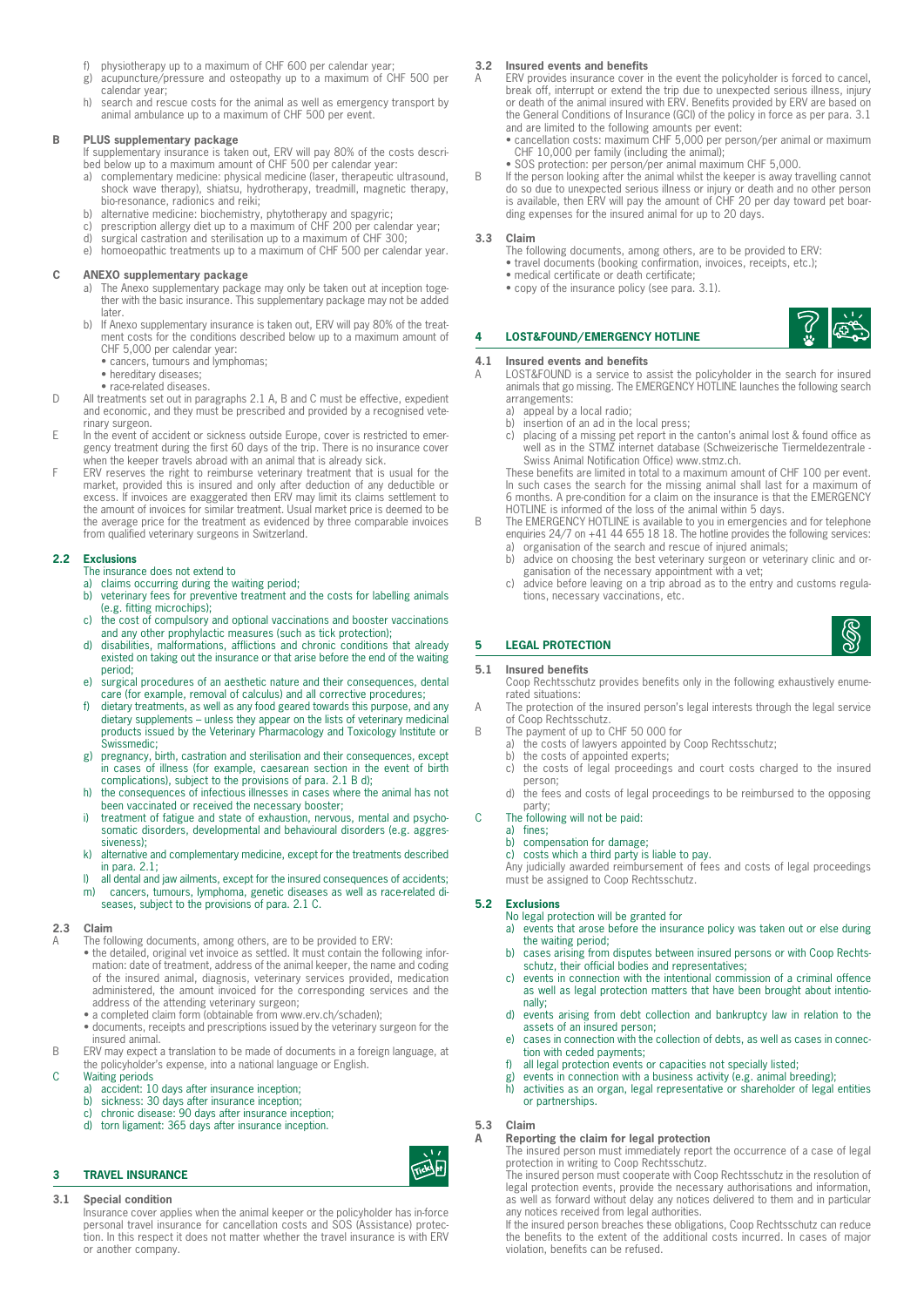- f) physiotherapy up to a maximum of CHF 600 per calendar year;
- g) acupuncture/pressure and osteopathy up to a maximum of CHF 500 per calendar year;
- h) search and rescue costs for the animal as well as emergency transport by animal ambulance up to a maximum of CHF 500 per event.

### **B PLUS supplementary package**

If supplementary insurance is taken out, ERV will pay 80% of the costs described below up to a maximum amount of CHF 500 per calendar year:

- a) complementary medicine: physical medicine (laser, therapeutic ultrasound, shock wave therapy), shiatsu, hydrotherapy, treadmill, magnetic therapy, bio-resonance, radionics and reiki;
- b) alternative medicine: biochemistry, phytotherapy and spagyric;<br>c) prescription allergy diet up to a maximum of CHF 200 per cale
- c) prescription allergy diet up to a maximum of CHF 200 per calendar year;<br>d) surgical castration and sterilisation up to a maximum of CHF 300;
- surgical castration and sterilisation up to a maximum of CHF 300;
- e) homoeopathic treatments up to a maximum of CHF 500 per calendar year.

### **C ANEXO supplementary package**

- a) The Anexo supplementary package may only be taken out at inception together with the basic insurance. This supplementary package may not be added later.
- b) If Anexo supplementary insurance is taken out, ERV will pay 80% of the treatment costs for the conditions described below up to a maximum amount of
	- CHF 5,000 per calendar year: cancers, tumours and lymphomas;
	- hereditary diseases;
	- race-related diseases.
- D All treatments set out in paragraphs 2.1 A, B and C must be effective, expedient and economic, and they must be prescribed and provided by a recognised veterinary surgeon.
- E In the event of accident or sickness outside Europe, cover is restricted to emer-gency treatment during the first 60 days of the trip. There is no insurance cover when the keeper travels abroad with an animal that is already sick.
- F ERV reserves the right to reimburse veterinary treatment that is usual for the market, provided this is insured and only after deduction of any deductible or excess. If invoices are exaggerated then ERV may limit its claims settlement to the amount of invoices for similar treatment. Usual market price is deemed to be the average price for the treatment as evidenced by three comparable invoices from qualified veterinary surgeons in Switzerland.

### **2.2 Exclusions**

The insurance does not extend to

a) claims occurring during the waiting period;

- b) veterinary fees for preventive treatment and the costs for labelling animals (e.g. fitting microchips);
- c) the cost of compulsory and optional vaccinations and booster vaccinations and any other prophylactic measures (such as tick protection);
- d) disabilities, malformations, afflictions and chronic conditions that already existed on taking out the insurance or that arise before the end of the waiting period;
- e) surgical procedures of an aesthetic nature and their consequences, dental care (for example, removal of calculus) and all corrective procedures;
- f) dietary treatments, as well as any food geared towards this purpose, and any dietary supplements – unless they appear on the lists of veterinary medicinal products issued by the Veterinary Pharmacology and Toxicology Institute or Swissmedic;
- g) pregnancy, birth, castration and sterilisation and their consequences, except in cases of illness (for example, caesarean section in the event of birth complications), subject to the provisions of para. 2.1 B d);
- h) the consequences of infectious illnesses in cases where the animal has not been vaccinated or received the necessary booster;
- i) treatment of fatigue and state of exhaustion, nervous, mental and psychosomatic disorders, developmental and behavioural disorders (e.g. aggressiveness);
- k) alternative and complementary medicine, except for the treatments described in para. 2.1;
- l) all dental and jaw ailments, except for the insured consequences of accidents; m) cancers, tumours, lymphoma, genetic diseases as well as race-related diseases, subject to the provisions of para. 2.1 C.

### **2.3 Claim**

- The following documents, among others, are to be provided to ERV:
- the detailed, original vet invoice as settled. It must contain the following information: date of treatment, address of the animal keeper, the name and coding of the insured animal, diagnosis, veterinary services provided, medication administered, the amount invoiced for the corresponding services and the address of the attending veterinary surgeon;
- a completed claim form (obtainable from www.erv.ch/schaden);
- documents, receipts and prescriptions issued by the veterinary surgeon for the insured animal.
- B ERV may expect a translation to be made of documents in a foreign language, at the policyholder's expense, into a national language or English.
- C Waiting periods
	- a) accident: 10 days after insurance inception;
	- b) sickness: 30 days after insurance inception; c) chronic disease: 90 days after insurance inception;
	-
	- d) torn ligament: 365 days after insurance inception.

### **3 TRAVEL INSURANCE**

### **3.1 Special condition**

Insurance cover applies when the animal keeper or the policyholder has in-force personal travel insurance for cancellation costs and SOS (Assistance) protection. In this respect it does not matter whether the travel insurance is with ERV or another company.

## **3.2 Insured events and benefits**<br>A ERV provides insurance cover i

- ERV provides insurance cover in the event the policyholder is forced to cancel, break off, interrupt or extend the trip due to unexpected serious illness, injury or death of the animal insured with ERV. Benefits provided by ERV are based on the General Conditions of Insurance (GCI) of the policy in force as per para. 3.1 and are limited to the following amounts per event:
	- cancellation costs: maximum CHF 5,000 per person/per animal or maximum CHF 10,000 per family (including the animal);
- SOS protection: per person/per animal maximum CHF 5,000.
- B If the person looking after the animal whilst the keeper is away travelling cannot do so due to unexpected serious illness or injury or death and no other person is available, then ERV will pay the amount of CHF 20 per day toward pet boar-ding expenses for the insured animal for up to 20 days.

### **3.3 Claim**

The following documents, among others, are to be provided to ERV:

- travel documents (booking confirmation, invoices, receipts, etc.); medical certificate or death certificate;
- 
- copy of the insurance policy (see para. 3.1).

### **4 LOST&FOUND/EMERGENCY HOTLINE**

### **4.1 Insured events and benefits**<br>A LOST&FOUND is a service to a

- LOST&FOUND is a service to assist the policyholder in the search for insured animals that go missing. The EMERGENCY HOTLINE launches the following search arrangements:
	- a) appeal by a local radio; b) insertion of an ad in the local press;
	-
	- c) placing of a missing pet report in the canton's animal lost & found office as well as in the STMZ internet database (Schweizerische Tiermeldezentrale -Swiss Animal Notification Office) www.stmz.ch.

These benefits are limited in total to a maximum amount of CHF 100 per event.<br>In such cases the search for the missing animal shall last for a maximum of<br>6 months. A pre-condition for a claim on the insurance is that the E HOTLINE is informed of the loss of the animal within 5 days.

- B The EMERGENCY HOTLINE is available to you in emergencies and for telephone enquiries 24/7 on +41 44 655 18 18. The hotline provides the following services: a) organisation of the search and rescue of injured animals;
	- b) advice on choosing the best veterinary surgeon or veterinary clinic and or-ganisation of the necessary appointment with a vet;
	- c) advice before leaving on a trip abroad as to the entry and customs regulations, necessary vaccinations, etc.

### **5 LEGAL PROTECTION**

### **5.1 Insured benefits**

Coop Rechtsschutz provides benefits only in the following exhaustively enumerated situations:

- A The protection of the insured person's legal interests through the legal service of Coop Rechtsschutz.
- B The payment of up to CHF 50 000 for
	- a) the costs of lawyers appointed by Coop Rechtsschutz;
	- b) the costs of appointed experts;<br>c) the costs of legal proceeding. the costs of legal proceedings and court costs charged to the insured person;
	- d) the fees and costs of legal proceedings to be reimbursed to the opposing party;
- C The following will not be paid:
	- a) fines; b) compensation for damage;
	-
	- c) costs which a third party is liable to pay.

Any judicially awarded reimbursement of fees and costs of legal proceedings must be assigned to Coop Rechtsschutz.

### **5.2 Exclusions**

- No legal protection will be granted for
- a) events that arose before the insurance policy was taken out or else during the waiting period;
- cases arising from disputes between insured persons or with Coop Rechtsschutz, their official bodies and representatives;
- c) events in connection with the intentional commission of a criminal offence as well as legal protection matters that have been brought about intentionally;
- d) events arising from debt collection and bankruptcy law in relation to the assets of an insured person;
- e) cases in connection with the collection of debts, as well as cases in connection with ceded payments;
- f) all legal protection events or capacities not specially listed:
- 
- g) events in connection with a business activity (e.g. animal breeding); h) activities as an organ, legal representative or shareholder of legal entities or partnerships.

### **5.3 Claim**

**A Reporting the claim for legal protection** The insured person must immediately report the occurrence of a case of legal

protection in writing to Coop Rechtsschutz. The insured person must cooperate with Coop Rechtsschutz in the resolution of legal protection events, provide the necessary authorisations and information, as well as forward without delay any notices delivered to them and in particular any notices received from legal authorities.

If the insured person breaches these obligations, Coop Rechtsschutz can reduce the benefits to the extent of the additional costs incurred. In cases of major violation, benefits can be refused.